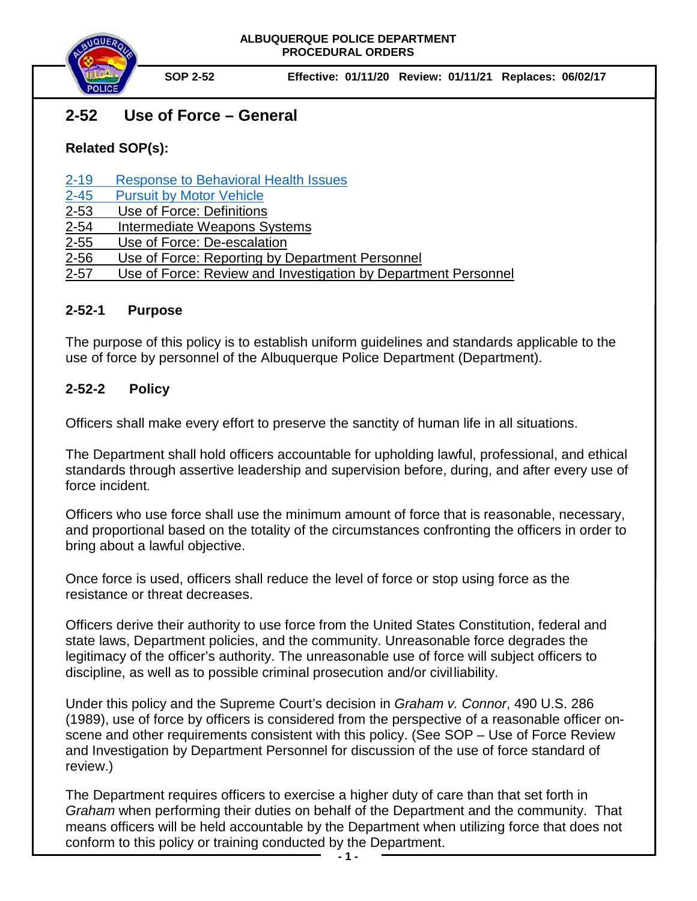

# **2-52 Use of Force – General**

# **Related SOP(s):**

[2-19 Response to Behavioral Health Issues](https://powerdms.com/link/IDS/document/?id=1192186)

- [2-45 Pursuit by Motor Vehicle](https://powerdms.com/link/IDS/document/?id=139)
- [2-53 Use of Force:](https://powerdms.com/docs/137?q=2-53) Definitions
- [2-54 Intermediate Weapons](https://powerdms.com/docs/755463?q=2-54) Systems
- [2-55 Use of](https://powerdms.com/docs/755516?q=2-55) Force: De-escalation
- 2-56 Use of Force: [Reporting by Department Personnel](https://powerdms.com/docs/755516?q=2-55)
- 2-57 Use of Force: Review and Investigation by Department Personnel

#### **2-52-1 Purpose**

The purpose of this policy is to establish uniform guidelines and standards applicable to the use of force by personnel of the Albuquerque Police Department (Department).

## **2-52-2 Policy**

Officers shall make every effort to preserve the sanctity of human life in all situations.

The Department shall hold officers accountable for upholding lawful, professional, and ethical standards through assertive leadership and supervision before, during, and after every use of force incident.

Officers who use force shall use the minimum amount of force that is reasonable, necessary, and proportional based on the totality of the circumstances confronting the officers in order to bring about a lawful objective.

Once force is used, officers shall reduce the level of force or stop using force as the resistance or threat decreases.

Officers derive their authority to use force from the United States Constitution, federal and state laws, Department policies, and the community. Unreasonable force degrades the legitimacy of the officer's authority. The unreasonable use of force will subject officers to discipline, as well as to possible criminal prosecution and/or civilliability.

Under this policy and the Supreme Court's decision in *Graham v. Connor*, 490 U.S. 286 (1989), use of force by officers is considered from the perspective of a reasonable officer onscene and other requirements consistent with this policy. (See SOP – Use of Force Review and Investigation by Department Personnel for discussion of the use of force standard of review.)

The Department requires officers to exercise a higher duty of care than that set forth in *Graham* when performing their duties on behalf of the Department and the community. That means officers will be held accountable by the Department when utilizing force that does not conform to this policy or training conducted by the Department.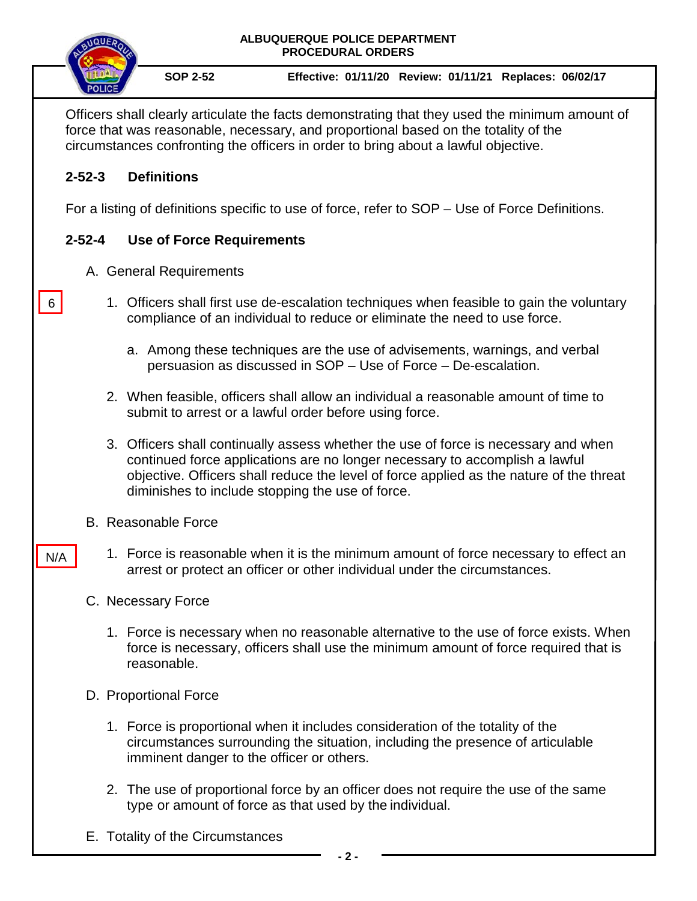

6

N/A

**SOP 2-52 Effective: 01/11/20 Review: 01/11/21 Replaces: 06/02/17** 

Officers shall clearly articulate the facts demonstrating that they used the minimum amount of force that was reasonable, necessary, and proportional based on the totality of the circumstances confronting the officers in order to bring about a lawful objective.

### **2-52-3 Definitions**

For a listing of definitions specific to use of force, refer to SOP – Use of Force Definitions.

#### **2-52-4 Use of Force Requirements**

- A. General Requirements
	- 1. Officers shall first use de-escalation techniques when feasible to gain the voluntary compliance of an individual to reduce or eliminate the need to use force.
		- a. Among these techniques are the use of advisements, warnings, and verbal persuasion as discussed in SOP – Use of Force – De-escalation.
	- 2. When feasible, officers shall allow an individual a reasonable amount of time to submit to arrest or a lawful order before using force.
	- 3. Officers shall continually assess whether the use of force is necessary and when continued force applications are no longer necessary to accomplish a lawful objective. Officers shall reduce the level of force applied as the nature of the threat diminishes to include stopping the use of force.
- B. Reasonable Force
	- 1. Force is reasonable when it is the minimum amount of force necessary to effect an arrest or protect an officer or other individual under the circumstances.
- C. Necessary Force
	- 1. Force is necessary when no reasonable alternative to the use of force exists. When force is necessary, officers shall use the minimum amount of force required that is reasonable.
- D. Proportional Force
	- 1. Force is proportional when it includes consideration of the totality of the circumstances surrounding the situation, including the presence of articulable imminent danger to the officer or others.
	- 2. The use of proportional force by an officer does not require the use of the same type or amount of force as that used by the individual.
- E. Totality of the Circumstances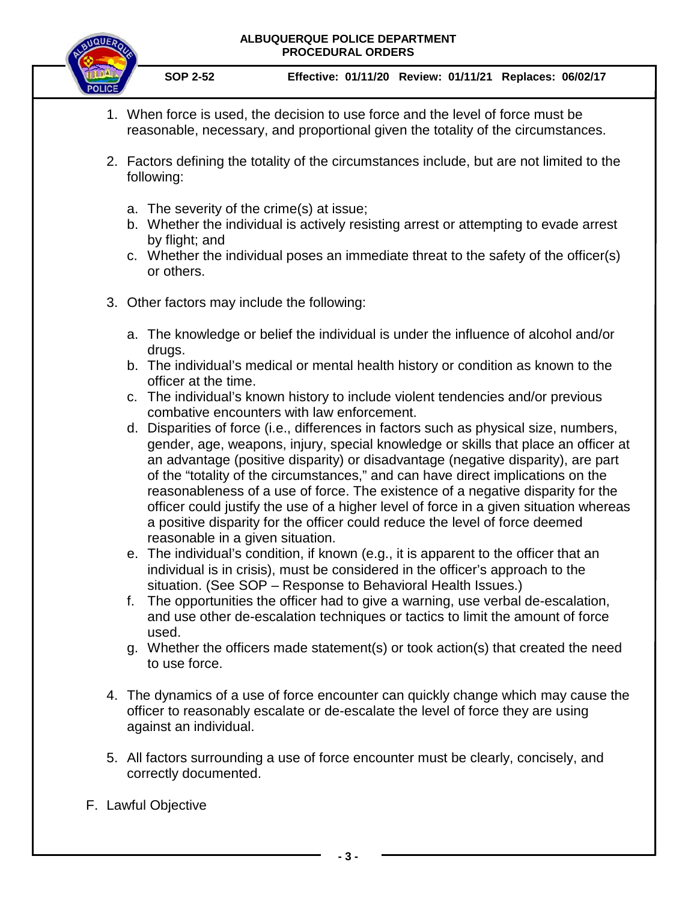#### **ALBUQUERQUE POLICE DEPARTMENT PROCEDURAL ORDERS**



**SOP 2-52 Effective: 01/11/20 Review: 01/11/21 Replaces: 06/02/17** 

- 1. When force is used, the decision to use force and the level of force must be reasonable, necessary, and proportional given the totality of the circumstances.
- 2. Factors defining the totality of the circumstances include, but are not limited to the following:
	- a. The severity of the crime(s) at issue;
	- b. Whether the individual is actively resisting arrest or attempting to evade arrest by flight; and
	- c. Whether the individual poses an immediate threat to the safety of the officer(s) or others.
- 3. Other factors may include the following:
	- a. The knowledge or belief the individual is under the influence of alcohol and/or drugs.
	- b. The individual's medical or mental health history or condition as known to the officer at the time.
	- c. The individual's known history to include violent tendencies and/or previous combative encounters with law enforcement.
	- d. Disparities of force (i.e., differences in factors such as physical size, numbers, gender, age, weapons, injury, special knowledge or skills that place an officer at an advantage (positive disparity) or disadvantage (negative disparity), are part of the "totality of the circumstances," and can have direct implications on the reasonableness of a use of force. The existence of a negative disparity for the officer could justify the use of a higher level of force in a given situation whereas a positive disparity for the officer could reduce the level of force deemed reasonable in a given situation.
	- e. The individual's condition, if known (e.g., it is apparent to the officer that an individual is in crisis), must be considered in the officer's approach to the situation. (See SOP – Response to Behavioral Health Issues.)
	- f. The opportunities the officer had to give a warning, use verbal de-escalation, and use other de-escalation techniques or tactics to limit the amount of force used.
	- g. Whether the officers made statement(s) or took action(s) that created the need to use force.
- 4. The dynamics of a use of force encounter can quickly change which may cause the officer to reasonably escalate or de-escalate the level of force they are using against an individual.
- 5. All factors surrounding a use of force encounter must be clearly, concisely, and correctly documented.
- F. Lawful Objective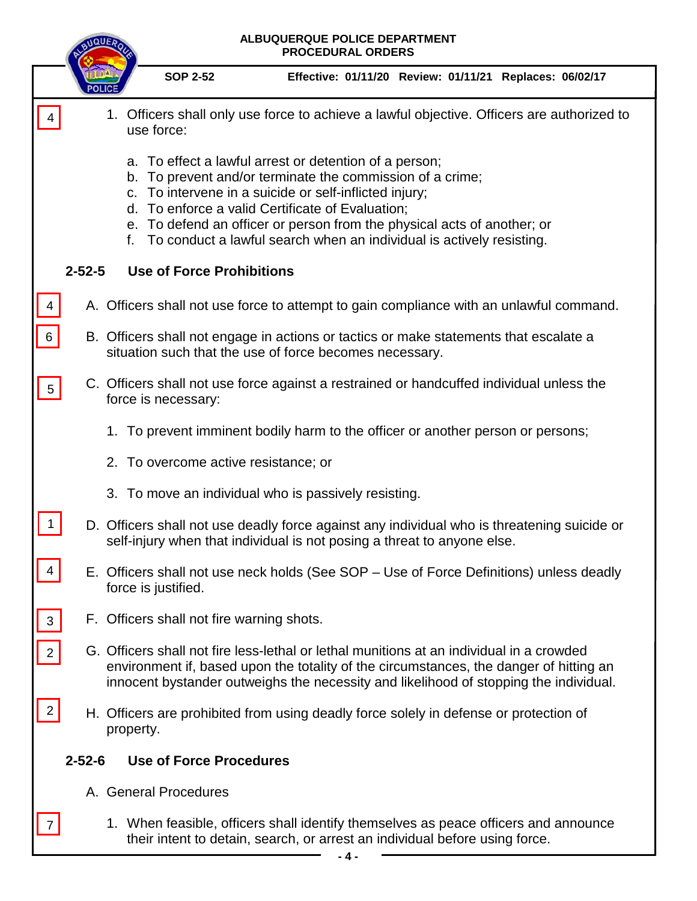| ALBUQUERQUE POLICE DEPARTMENT<br><b>PROCEDURAL ORDERS</b> |              |                                                                                                                                                                                                                                                                                                                                                                                               |
|-----------------------------------------------------------|--------------|-----------------------------------------------------------------------------------------------------------------------------------------------------------------------------------------------------------------------------------------------------------------------------------------------------------------------------------------------------------------------------------------------|
|                                                           |              | <b>SOP 2-52</b><br>Effective: 01/11/20 Review: 01/11/21 Replaces: 06/02/17                                                                                                                                                                                                                                                                                                                    |
|                                                           |              | 1. Officers shall only use force to achieve a lawful objective. Officers are authorized to<br>use force:                                                                                                                                                                                                                                                                                      |
|                                                           |              | a. To effect a lawful arrest or detention of a person;<br>b. To prevent and/or terminate the commission of a crime;<br>To intervene in a suicide or self-inflicted injury;<br>C.<br>d. To enforce a valid Certificate of Evaluation;<br>e. To defend an officer or person from the physical acts of another; or<br>To conduct a lawful search when an individual is actively resisting.<br>f. |
|                                                           | $2 - 52 - 5$ | <b>Use of Force Prohibitions</b>                                                                                                                                                                                                                                                                                                                                                              |
|                                                           |              | A. Officers shall not use force to attempt to gain compliance with an unlawful command.                                                                                                                                                                                                                                                                                                       |
| $\,6\,$                                                   |              | B. Officers shall not engage in actions or tactics or make statements that escalate a<br>situation such that the use of force becomes necessary.                                                                                                                                                                                                                                              |
| $5\overline{)}$                                           |              | C. Officers shall not use force against a restrained or handcuffed individual unless the<br>force is necessary:                                                                                                                                                                                                                                                                               |
|                                                           |              | 1. To prevent imminent bodily harm to the officer or another person or persons;                                                                                                                                                                                                                                                                                                               |
|                                                           |              | 2. To overcome active resistance; or                                                                                                                                                                                                                                                                                                                                                          |
|                                                           |              | 3. To move an individual who is passively resisting.                                                                                                                                                                                                                                                                                                                                          |
|                                                           |              | D. Officers shall not use deadly force against any individual who is threatening suicide or<br>self-injury when that individual is not posing a threat to anyone else.                                                                                                                                                                                                                        |
|                                                           |              | E. Officers shall not use neck holds (See SOP – Use of Force Definitions) unless deadly<br>force is justified.                                                                                                                                                                                                                                                                                |
| $\sqrt{3}$                                                |              | F. Officers shall not fire warning shots.                                                                                                                                                                                                                                                                                                                                                     |
| $\overline{2}$                                            |              | G. Officers shall not fire less-lethal or lethal munitions at an individual in a crowded<br>environment if, based upon the totality of the circumstances, the danger of hitting an<br>innocent bystander outweighs the necessity and likelihood of stopping the individual.                                                                                                                   |
| $\overline{2}$                                            |              | H. Officers are prohibited from using deadly force solely in defense or protection of<br>property.                                                                                                                                                                                                                                                                                            |
| $2 - 52 - 6$<br><b>Use of Force Procedures</b>            |              |                                                                                                                                                                                                                                                                                                                                                                                               |
|                                                           |              | A. General Procedures                                                                                                                                                                                                                                                                                                                                                                         |
|                                                           |              | 1. When feasible, officers shall identify themselves as peace officers and announce                                                                                                                                                                                                                                                                                                           |

their intent to detain, search, or arrest an individual before using force.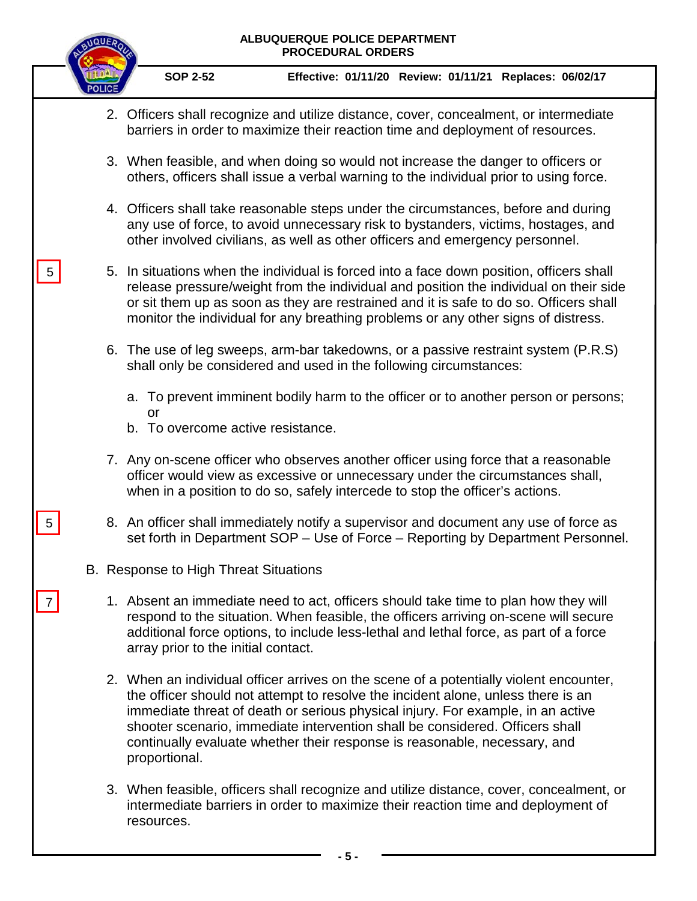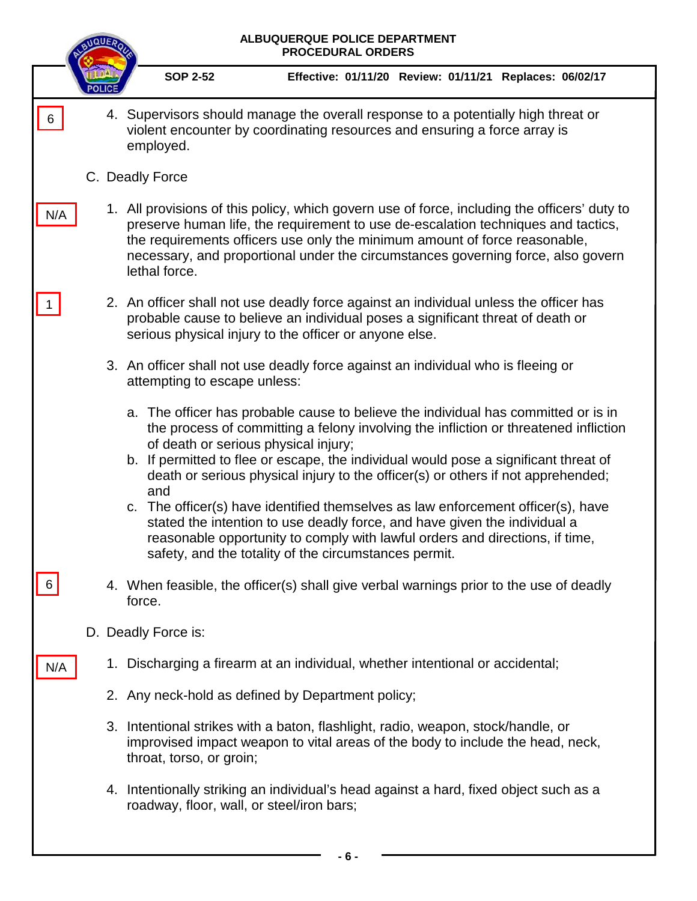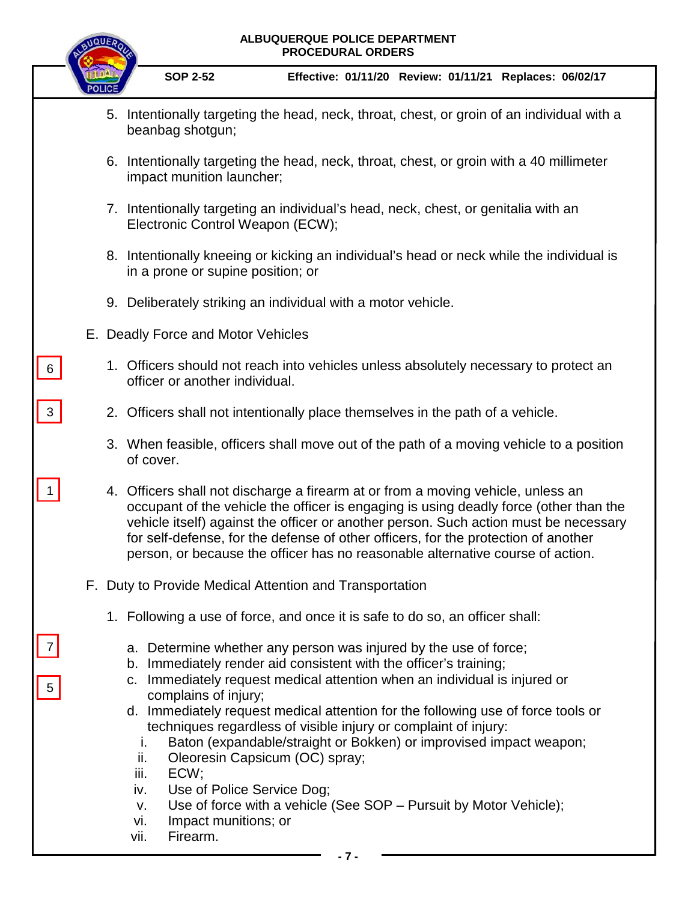